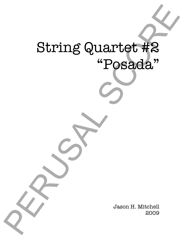## String Quartet #2 String Quartet #2 "Posada"

Jason H. Mitchell 2009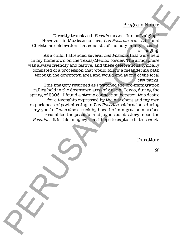## Program Notes:

Directly translated, Posada means "Inn or Lodging." However, in Mexican culture, Las Posadas is a traditional Christmas celebration that consists of the holy family's search for lodging.

As a child, I attended several Las Posadas that were held in my hometown on the Texas/Mexico border. The atmosphere was always friendly and festive, and these celebrations typically consisted of a procession that would follow a meandering path through the downtown area and would end at one of the local city parks.

Program Notes:<br>
Program Notes:<br>
Directly wanalated, Program Tim or Locations<br>
Thus can be considered as a trainer of the consistents are chosen in the consistent of the consistent and the consistence of the consistence and This imagery returned as I watched the pro-immigration rallies held in the downtown area of Austin, Texas, during the spring of 2006. I found a strong connection between this desire for citizenship expressed by the marchers and my own experiences of participating in Las Posadas celebrations during my youth. I was also struck by how the immigration marches resembled the peaceful and joyous celebratory mood the Posadas. It is this imagery that I hope to capture in this work.

## Duration:

 $9'$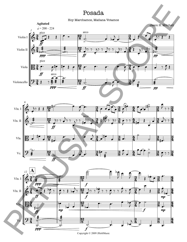## Posada

Hoy Marchamos, Mañana Votamos





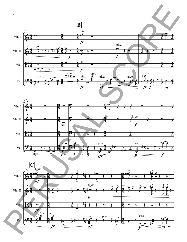



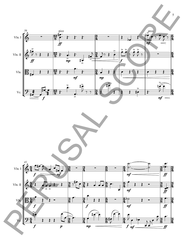

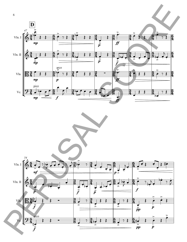